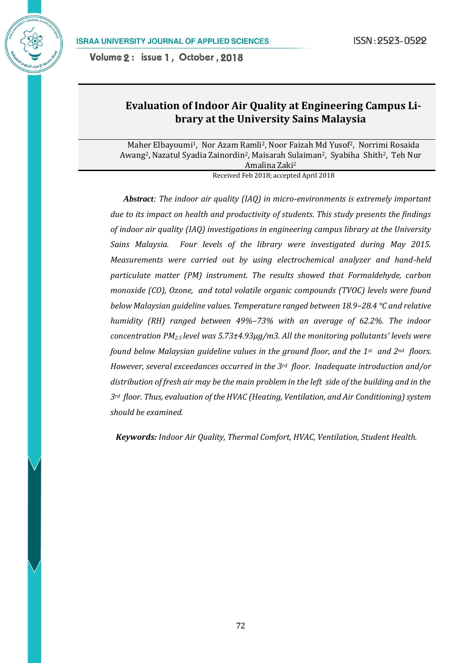# **Evaluation of Indoor Air Quality at Engineering Campus Library at the University Sains Malaysia**

Maher Elbayoumi1, Nor Azam Ramli2, Noor Faizah Md Yusof2, Norrimi Rosaida Awang<sup>2</sup>, Nazatul Syadia Zainordin<sup>2</sup>, Maisarah Sulaiman<sup>2</sup>, Syabiha Shith<sup>2</sup>, Teh Nur Amalina Zaki<sup>2</sup>

Received Feb 2018; accepted April 2018

 *Abstract: The indoor air quality (IAQ) in micro-environments is extremely important due to its impact on health and productivity of students. This study presents the findings of indoor air quality (IAQ) investigations in engineering campus library at the University Sains Malaysia. Four levels of the library were investigated during May 2015. Measurements were carried out by using electrochemical analyzer and hand-held particulate matter (PM) instrument. The results showed that Formaldehyde, carbon monoxide (CO), Ozone, and total volatile organic compounds (TVOC) levels were found below Malaysian guideline values. Temperature ranged between 18.9–28.4 °C and relative humidity (RH) ranged between 49%–73% with an average of 62.2%. The indoor concentration PM2.5 level was 5.73±4.93μg/m3. All the monitoring pollutants' levels were found below Malaysian guideline values in the ground floor, and the 1st and 2nd floors. However, several exceedances occurred in the 3rd floor. Inadequate introduction and/or distribution of fresh air may be the main problem in the left side of the building and in the 3rd floor. Thus, evaluation of the HVAC (Heating, Ventilation, and Air Conditioning) system should be examined.*

*Keywords: Indoor Air Quality, Thermal Comfort, HVAC, Ventilation, Student Health.*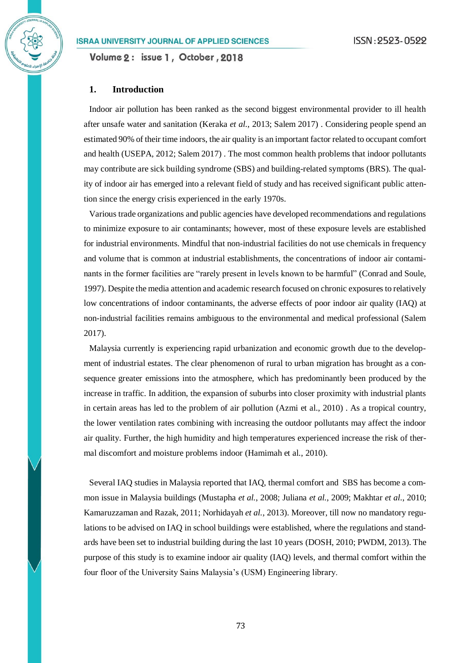Volume 2: issue 1, October, 2018

### **1. Introduction**

Indoor air pollution has been ranked as the second biggest environmental provider to ill health after unsafe water and sanitation (Keraka *et al.*, 2013; Salem 2017) . Considering people spend an estimated 90% of their time indoors, the air quality is an important factor related to occupant comfort and health (USEPA, 2012; Salem 2017) . The most common health problems that indoor pollutants may contribute are sick building syndrome (SBS) and building-related symptoms (BRS). The quality of indoor air has emerged into a relevant field of study and has received significant public attention since the energy crisis experienced in the early 1970s.

Various trade organizations and public agencies have developed recommendations and regulations to minimize exposure to air contaminants; however, most of these exposure levels are established for industrial environments. Mindful that non-industrial facilities do not use chemicals in frequency and volume that is common at industrial establishments, the concentrations of indoor air contaminants in the former facilities are "rarely present in levels known to be harmful" (Conrad and Soule, 1997). Despite the media attention and academic research focused on chronic exposures to relatively low concentrations of indoor contaminants, the adverse effects of poor indoor air quality (IAQ) at non-industrial facilities remains ambiguous to the environmental and medical professional (Salem 2017).

Malaysia currently is experiencing rapid urbanization and economic growth due to the development of industrial estates. The clear phenomenon of rural to urban migration has brought as a consequence greater emissions into the atmosphere, which has predominantly been produced by the increase in traffic. In addition, the expansion of suburbs into closer proximity with industrial plants in certain areas has led to the problem of air pollution (Azmi et al., 2010) . As a tropical country, the lower ventilation rates combining with increasing the outdoor pollutants may affect the indoor air quality. Further, the high humidity and high temperatures experienced increase the risk of thermal discomfort and moisture problems indoor (Hamimah et al., 2010).

Several IAQ studies in Malaysia reported that IAQ, thermal comfort and SBS has become a common issue in Malaysia buildings (Mustapha *et al.*, 2008; Juliana *et al.*, 2009; Makhtar *et al.*, 2010; Kamaruzzaman and Razak, 2011; Norhidayah *et al.*, 2013). Moreover, till now no mandatory regulations to be advised on IAQ in school buildings were established, where the regulations and standards have been set to industrial building during the last 10 years (DOSH, 2010; PWDM, 2013). The purpose of this study is to examine indoor air quality (IAQ) levels, and thermal comfort within the four floor of the University Sains Malaysia's (USM) Engineering library.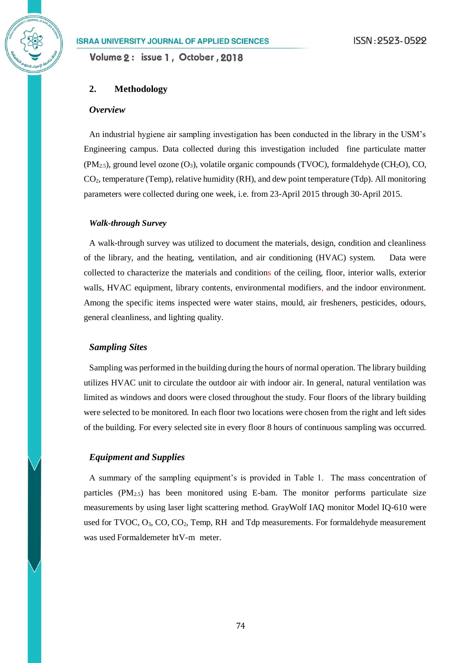Volume 2: issue 1, October, 2018

### **2. Methodology**

### *Overview*

An industrial hygiene air sampling investigation has been conducted in the library in the USM's Engineering campus. Data collected during this investigation included fine particulate matter  $(PM_{2.5})$ , ground level ozone  $(O_3)$ , volatile organic compounds (TVOC), formaldehyde (CH<sub>2</sub>O), CO, CO2, temperature (Temp), relative humidity (RH), and dew point temperature (Tdp). All monitoring parameters were collected during one week, i.e. from 23-April 2015 through 30-April 2015.

#### *Walk-through Survey*

A walk-through survey was utilized to document the materials, design, condition and cleanliness of the library, and the heating, ventilation, and air conditioning (HVAC) system. Data were collected to characterize the materials and conditions of the ceiling, floor, interior walls, exterior walls, HVAC equipment, library contents, environmental modifiers, and the indoor environment. Among the specific items inspected were water stains, mould, air fresheners, pesticides, odours, general cleanliness, and lighting quality.

#### *Sampling Sites*

Sampling was performed in the building during the hours of normal operation. The library building utilizes HVAC unit to circulate the outdoor air with indoor air. In general, natural ventilation was limited as windows and doors were closed throughout the study. Four floors of the library building were selected to be monitored. In each floor two locations were chosen from the right and left sides of the building. For every selected site in every floor 8 hours of continuous sampling was occurred.

# *Equipment and Supplies*

A summary of the sampling equipment's is provided in Table 1. The mass concentration of particles  $(PM_{2.5})$  has been monitored using E-bam. The monitor performs particulate size measurements by using laser light scattering method. GrayWolf IAQ monitor Model IQ-610 were used for TVOC,  $O_3$ ,  $CO$ ,  $CO_2$ , Temp, RH and Tdp measurements. For formaldehyde measurement was used Formaldemeter htV-m meter.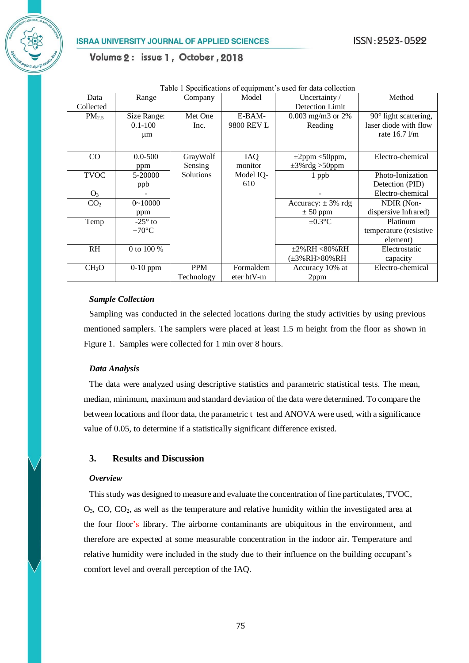|                   | radio i opeemeanons of equipment s'asea for data concentra |            |              |                        |                                  |  |  |  |
|-------------------|------------------------------------------------------------|------------|--------------|------------------------|----------------------------------|--|--|--|
| Data              | Range                                                      | Company    | Model        | Uncertainty/           | Method                           |  |  |  |
| Collected         |                                                            |            |              | Detection Limit        |                                  |  |  |  |
| $PM_{2.5}$        | Size Range:                                                | Met One    | E-BAM-       | $0.003$ mg/m3 or 2%    | 90° light scattering,            |  |  |  |
|                   | $0.1 - 100$                                                | Inc.       | 9800 REV L   | Reading                | laser diode with flow            |  |  |  |
|                   | μm                                                         |            |              |                        | rate $16.7 \text{ }\mathrm{l/m}$ |  |  |  |
|                   |                                                            |            |              |                        |                                  |  |  |  |
| CO                | $0.0 - 500$                                                | GrayWolf   | <b>IAQ</b>   | $\pm 2$ ppm <50ppm,    | Electro-chemical                 |  |  |  |
|                   |                                                            | Sensing    | monitor      | $\pm 3\%$ rdg >50ppm   |                                  |  |  |  |
|                   | ppm                                                        |            |              |                        |                                  |  |  |  |
| <b>TVOC</b>       | 5-20000                                                    | Solutions  | Model IQ-    | 1 ppb                  | Photo-Ionization                 |  |  |  |
|                   | ppb                                                        |            | 610          |                        | Detection (PID)                  |  |  |  |
| O <sub>3</sub>    |                                                            |            |              |                        | Electro-chemical                 |  |  |  |
| CO <sub>2</sub>   | $0 \sim 10000$                                             |            |              | Accuracy: $\pm$ 3% rdg | NDIR (Non-                       |  |  |  |
|                   | ppm                                                        |            |              | $\pm 50$ ppm           | dispersive Infrared)             |  |  |  |
| Temp              | $-25^\circ$ to                                             |            |              | $\pm 0.3$ °C           | Platinum                         |  |  |  |
|                   | $+70^{\circ}$ C                                            |            |              |                        | temperature (resistive           |  |  |  |
|                   |                                                            |            |              |                        | element)                         |  |  |  |
| <b>RH</b>         | 0 to 100 %                                                 |            |              | $\pm 2\% RH < 80\%RH$  | Electrostatic                    |  |  |  |
|                   |                                                            |            |              | (±3%RH>80%RH           | capacity                         |  |  |  |
| CH <sub>2</sub> O | $0-10$ ppm                                                 | PPM        | Formaldem    | Accuracy 10% at        | Electro-chemical                 |  |  |  |
|                   |                                                            | Technology | $eter$ htV-m | 2ppm                   |                                  |  |  |  |

Table 1 Specifications of equipment's used for data collection

#### *Sample Collection*

Sampling was conducted in the selected locations during the study activities by using previous mentioned samplers. The samplers were placed at least 1.5 m height from the floor as shown in Figure 1. Samples were collected for 1 min over 8 hours.

### *Data Analysis*

The data were analyzed using descriptive statistics and parametric statistical tests. The mean, median, minimum, maximum and standard deviation of the data were determined. To compare the between locations and floor data, the parametric t test and ANOVA were used, with a significance value of 0.05, to determine if a statistically significant difference existed.

# **3. Results and Discussion**

### *Overview*

This study was designed to measure and evaluate the concentration of fine particulates, TVOC, O3, CO, CO2, as well as the temperature and relative humidity within the investigated area at the four floor's library. The airborne contaminants are ubiquitous in the environment, and therefore are expected at some measurable concentration in the indoor air. Temperature and relative humidity were included in the study due to their influence on the building occupant's comfort level and overall perception of the IAQ.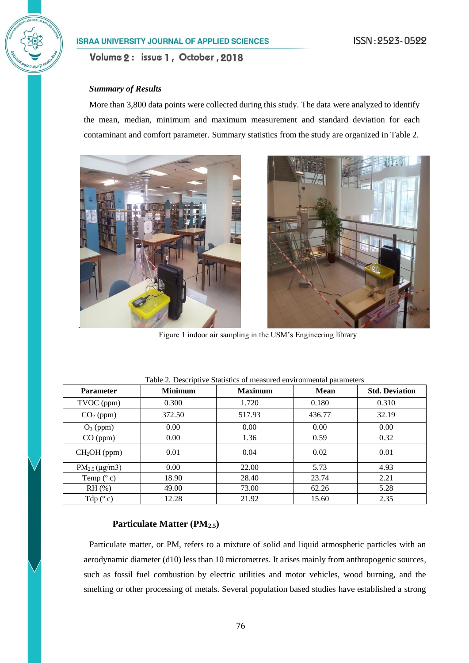### *Summary of Results*

More than 3,800 data points were collected during this study. The data were analyzed to identify the mean, median, minimum and maximum measurement and standard deviation for each contaminant and comfort parameter. Summary statistics from the study are organized in Table 2.





Figure 1 indoor air sampling in the USM's Engineering library

| <b>Parameter</b>         | <b>Minimum</b> | <b>Maximum</b> | <b>Mean</b> | <b>Std. Deviation</b> |
|--------------------------|----------------|----------------|-------------|-----------------------|
| TVOC (ppm)               | 0.300          | 1.720          | 0.180       | 0.310                 |
| $CO2$ (ppm)              | 372.50         | 517.93         | 436.77      | 32.19                 |
| $O_3$ (ppm)              | 0.00           | 0.00           | 0.00        | 0.00                  |
| CO (ppm)                 | 0.00           | 1.36           | 0.59        | 0.32                  |
| CH <sub>2</sub> OH (ppm) | 0.01           | 0.04           | 0.02        | 0.01                  |
| $PM_{2.5} (\mu g/m3)$    | 0.00           | 22.00          | 5.73        | 4.93                  |
| Temp $(^{\circ}$ c)      | 18.90          | 28.40          | 23.74       | 2.21                  |
| $RH$ (%)                 | 49.00          | 73.00          | 62.26       | 5.28                  |
| Tdp $(^{\circ}c)$        | 12.28          | 21.92          | 15.60       | 2.35                  |

Table 2. Descriptive Statistics of measured environmental parameters

# **Particulate Matter (PM2.5)**

Particulate matter, or PM, refers to a mixture of solid and liquid atmospheric particles with an aerodynamic diameter (d10) less than 10 micrometres. It arises mainly from anthropogenic sources, such as fossil fuel combustion by electric utilities and motor vehicles, wood burning, and the smelting or other processing of metals. Several population based studies have established a strong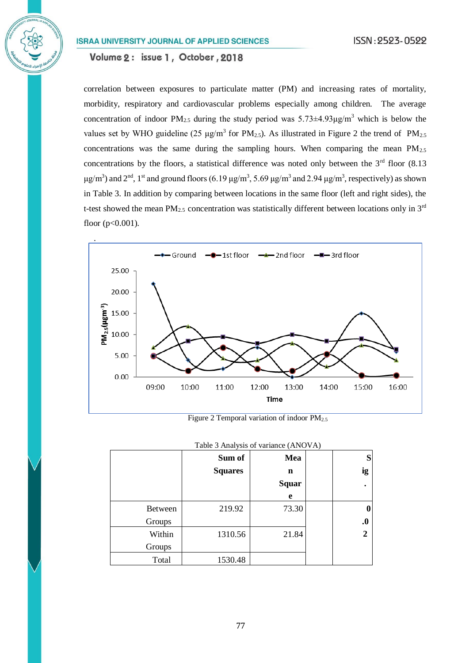Volume 2: issue 1, October, 2018

correlation between exposures to particulate matter (PM) and increasing rates of mortality, morbidity, respiratory and cardiovascular problems especially among children. The average concentration of indoor PM<sub>2.5</sub> during the study period was  $5.73\pm4.93\mu\text{g/m}^3$  which is below the values set by WHO guideline (25  $\mu$ g/m<sup>3</sup> for PM<sub>2.5</sub>). As illustrated in Figure 2 the trend of PM<sub>2.5</sub> concentrations was the same during the sampling hours. When comparing the mean  $PM_{2.5}$ concentrations by the floors, a statistical difference was noted only between the  $3<sup>rd</sup>$  floor (8.13) μg/m<sup>3</sup>) and 2<sup>nd</sup>, 1<sup>st</sup> and ground floors (6.19 μg/m<sup>3</sup>, 5.69 μg/m<sup>3</sup> and 2.94 μg/m<sup>3</sup>, respectively) as shown in Table 3. In addition by comparing between locations in the same floor (left and right sides), the t-test showed the mean  $PM_{2.5}$  concentration was statistically different between locations only in  $3<sup>rd</sup>$ floor  $(p<0.001)$ .



Figure 2 Temporal variation of indoor  $PM_{2.5}$ 

| Table 3 Analysis of variance (ANOVA) |                |              |  |                   |  |  |  |
|--------------------------------------|----------------|--------------|--|-------------------|--|--|--|
|                                      | Sum of         | Mea          |  | S                 |  |  |  |
|                                      | <b>Squares</b> | n            |  | ig                |  |  |  |
|                                      |                | <b>Squar</b> |  |                   |  |  |  |
|                                      |                | e            |  |                   |  |  |  |
| <b>Between</b>                       | 219.92         | 73.30        |  |                   |  |  |  |
| Groups                               |                |              |  | $\boldsymbol{.0}$ |  |  |  |
| Within                               | 1310.56        | 21.84        |  | $\overline{2}$    |  |  |  |
| Groups                               |                |              |  |                   |  |  |  |
| Total                                | 1530.48        |              |  |                   |  |  |  |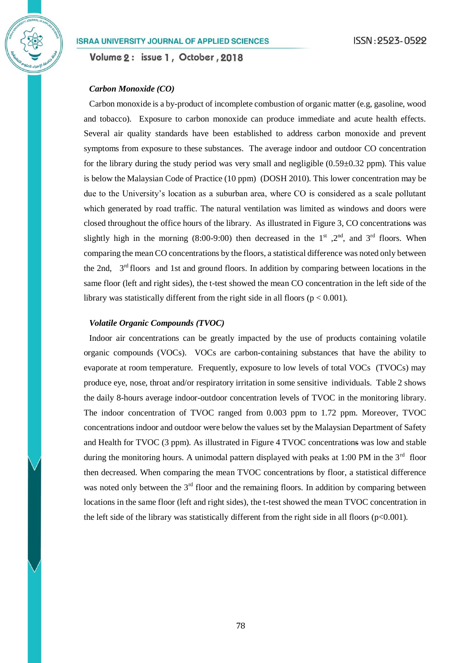Volume 2: issue 1, October, 2018

#### *Carbon Monoxide (CO)*

Carbon monoxide is a by-product of incomplete combustion of organic matter (e.g, gasoline, wood and tobacco). Exposure to carbon monoxide can produce immediate and acute health effects. Several air quality standards have been established to address carbon monoxide and prevent symptoms from exposure to these substances. The average indoor and outdoor CO concentration for the library during the study period was very small and negligible  $(0.59\pm0.32$  ppm). This value is below the Malaysian Code of Practice (10 ppm) (DOSH 2010). This lower concentration may be due to the University's location as a suburban area, where CO is considered as a scale pollutant which generated by road traffic. The natural ventilation was limited as windows and doors were closed throughout the office hours of the library. As illustrated in Figure 3, CO concentrations was slightly high in the morning (8:00-9:00) then decreased in the  $1<sup>st</sup>$ ,  $2<sup>nd</sup>$ , and  $3<sup>rd</sup>$  floors. When comparing the mean CO concentrations by the floors, a statistical difference was noted only between the 2nd, 3<sup>rd</sup> floors and 1st and ground floors. In addition by comparing between locations in the same floor (left and right sides), the t-test showed the mean CO concentration in the left side of the library was statistically different from the right side in all floors ( $p < 0.001$ ).

## *Volatile Organic Compounds (TVOC)*

Indoor air concentrations can be greatly impacted by the use of products containing volatile organic compounds (VOCs). VOCs are carbon-containing substances that have the ability to evaporate at room temperature. Frequently, exposure to low levels of total VOCs (TVOCs) may produce eye, nose, throat and/or respiratory irritation in some sensitive individuals. Table 2 shows the daily 8-hours average indoor-outdoor concentration levels of TVOC in the monitoring library. The indoor concentration of TVOC ranged from 0.003 ppm to 1.72 ppm. Moreover, TVOC concentrations indoor and outdoor were below the values set by the Malaysian Department of Safety and Health for TVOC (3 ppm). As illustrated in Figure 4 TVOC concentrations was low and stable during the monitoring hours. A unimodal pattern displayed with peaks at 1:00 PM in the  $3<sup>rd</sup>$  floor then decreased. When comparing the mean TVOC concentrations by floor, a statistical difference was noted only between the  $3<sup>rd</sup>$  floor and the remaining floors. In addition by comparing between locations in the same floor (left and right sides), the t-test showed the mean TVOC concentration in the left side of the library was statistically different from the right side in all floors ( $p<0.001$ ).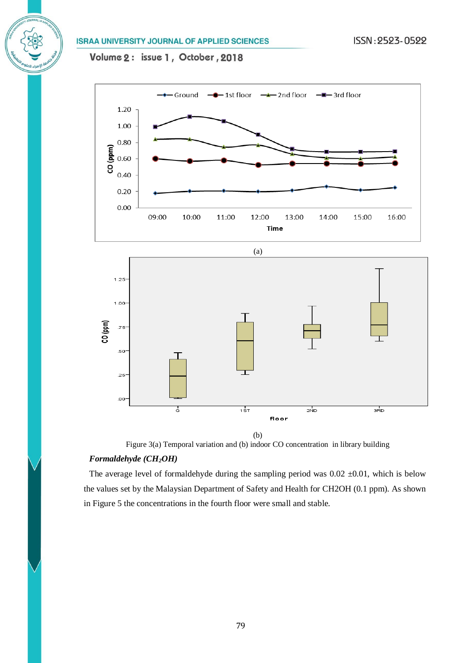Volume 2: issue 1, October, 2018





Figure 3(a) Temporal variation and (b) indoor CO concentration in library building

# *Formaldehyde (CH2OH)*

The average level of formaldehyde during the sampling period was  $0.02 \pm 0.01$ , which is below the values set by the Malaysian Department of Safety and Health for CH2OH (0.1 ppm). As shown in Figure 5 the concentrations in the fourth floor were small and stable.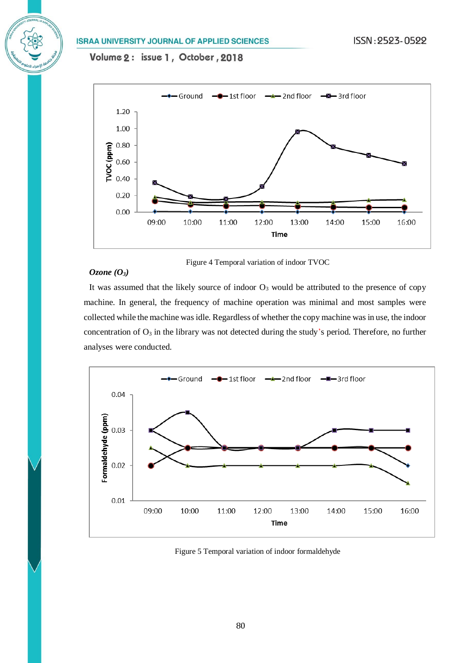Volume 2: issue 1, October, 2018



#### Figure 4 Temporal variation of indoor TVOC

## *Ozone (O3)*

It was assumed that the likely source of indoor  $O_3$  would be attributed to the presence of copy machine. In general, the frequency of machine operation was minimal and most samples were collected while the machine was idle. Regardless of whether the copy machine was in use, the indoor concentration of O<sub>3</sub> in the library was not detected during the study's period. Therefore, no further analyses were conducted.



Figure 5 Temporal variation of indoor formaldehyde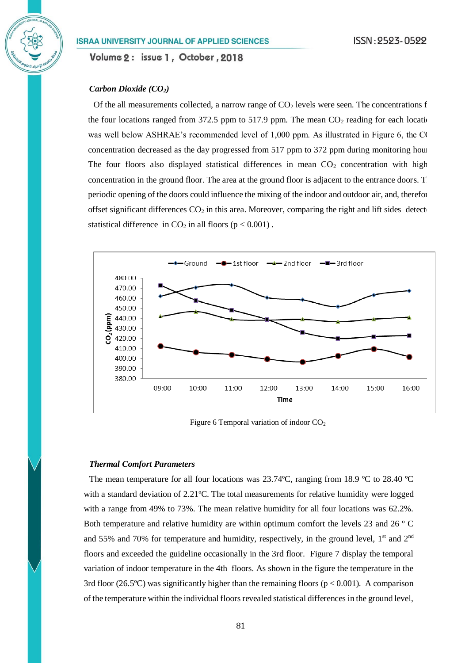Volume 2: issue 1, October, 2018

### *Carbon Dioxide (CO2)*

Of the all measurements collected, a narrow range of  $CO<sub>2</sub>$  levels were seen. The concentrations f the four locations ranged from 372.5 ppm to 517.9 ppm. The mean  $CO<sub>2</sub>$  reading for each location was well below ASHRAE's recommended level of  $1,000$  ppm. As illustrated in Figure 6, the CO concentration decreased as the day progressed from 517 ppm to 372 ppm during monitoring hour The four floors also displayed statistical differences in mean  $CO<sub>2</sub>$  concentration with high concentration in the ground floor. The area at the ground floor is adjacent to the entrance doors. T periodic opening of the doors could influence the mixing of the indoor and outdoor air, and, therefore, offset significant differences  $CO<sub>2</sub>$  in this area. Moreover, comparing the right and lift sides detect statistical difference in  $CO_2$  in all floors ( $p < 0.001$ ).



Figure 6 Temporal variation of indoor  $CO<sub>2</sub>$ 

#### *Thermal Comfort Parameters*

The mean temperature for all four locations was  $23.74^{\circ}$ C, ranging from 18.9  $^{\circ}$ C to 28.40  $^{\circ}$ C with a standard deviation of 2.21ºC. The total measurements for relative humidity were logged with a range from 49% to 73%. The mean relative humidity for all four locations was 62.2%. Both temperature and relative humidity are within optimum comfort the levels 23 and 26 º C and 55% and 70% for temperature and humidity, respectively, in the ground level,  $1<sup>st</sup>$  and  $2<sup>nd</sup>$ floors and exceeded the guideline occasionally in the 3rd floor. Figure 7 display the temporal variation of indoor temperature in the 4th floors. As shown in the figure the temperature in the 3rd floor (26.5°C) was significantly higher than the remaining floors ( $p < 0.001$ ). A comparison of the temperature within the individual floors revealed statistical differences in the ground level,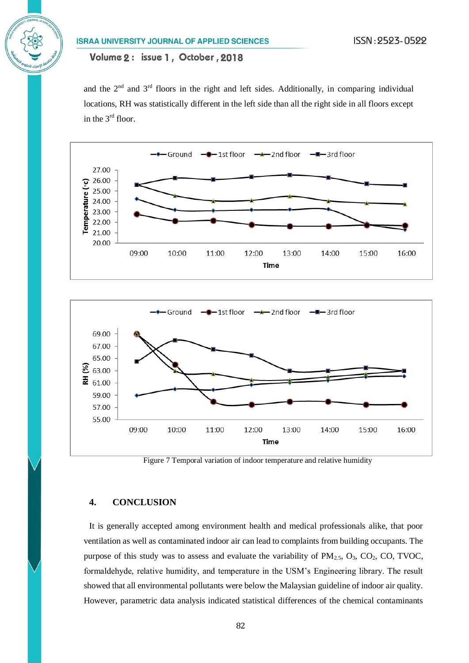and the  $2<sup>nd</sup>$  and  $3<sup>rd</sup>$  floors in the right and left sides. Additionally, in comparing individual locations, RH was statistically different in the left side than all the right side in all floors except in the 3rd floor.





Figure 7 Temporal variation of indoor temperature and relative humidity

## **4. CONCLUSION**

It is generally accepted among environment health and medical professionals alike, that poor ventilation as well as contaminated indoor air can lead to complaints from building occupants. The purpose of this study was to assess and evaluate the variability of  $PM_{2.5}$ ,  $O_3$ ,  $CO_2$ ,  $CO$ ,  $TVOC$ , formaldehyde, relative humidity, and temperature in the USM's Engineering library. The result showed that all environmental pollutants were below the Malaysian guideline of indoor air quality. However, parametric data analysis indicated statistical differences of the chemical contaminants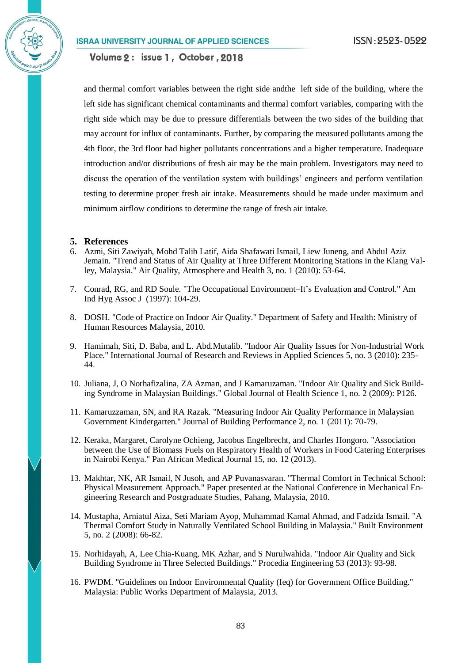Volume 2: issue 1, October, 2018

and thermal comfort variables between the right side andthe left side of the building, where the left side has significant chemical contaminants and thermal comfort variables, comparing with the right side which may be due to pressure differentials between the two sides of the building that may account for influx of contaminants. Further, by comparing the measured pollutants among the 4th floor, the 3rd floor had higher pollutants concentrations and a higher temperature. Inadequate introduction and/or distributions of fresh air may be the main problem. Investigators may need to discuss the operation of the ventilation system with buildings' engineers and perform ventilation testing to determine proper fresh air intake. Measurements should be made under maximum and minimum airflow conditions to determine the range of fresh air intake.

#### **5. References**

- 6. Azmi, Siti Zawiyah, Mohd Talib Latif, Aida Shafawati Ismail, Liew Juneng, and Abdul Aziz Jemain. "Trend and Status of Air Quality at Three Different Monitoring Stations in the Klang Valley, Malaysia." Air Quality, Atmosphere and Health 3, no. 1 (2010): 53-64.
- 7. Conrad, RG, and RD Soule. "The Occupational Environment–It's Evaluation and Control." Am Ind Hyg Assoc J (1997): 104-29.
- 8. DOSH. "Code of Practice on Indoor Air Quality." Department of Safety and Health: Ministry of Human Resources Malaysia, 2010.
- 9. Hamimah, Siti, D. Baba, and L. Abd.Mutalib. "Indoor Air Quality Issues for Non-Industrial Work Place." International Journal of Research and Reviews in Applied Sciences 5, no. 3 (2010): 235- 44.
- 10. Juliana, J, O Norhafizalina, ZA Azman, and J Kamaruzaman. "Indoor Air Quality and Sick Building Syndrome in Malaysian Buildings." Global Journal of Health Science 1, no. 2 (2009): P126.
- 11. Kamaruzzaman, SN, and RA Razak. "Measuring Indoor Air Quality Performance in Malaysian Government Kindergarten." Journal of Building Performance 2, no. 1 (2011): 70-79.
- 12. Keraka, Margaret, Carolyne Ochieng, Jacobus Engelbrecht, and Charles Hongoro. "Association between the Use of Biomass Fuels on Respiratory Health of Workers in Food Catering Enterprises in Nairobi Kenya." Pan African Medical Journal 15, no. 12 (2013).
- 13. Makhtar, NK, AR Ismail, N Jusoh, and AP Puvanasvaran. "Thermal Comfort in Technical School: Physical Measurement Approach." Paper presented at the National Conference in Mechanical Engineering Research and Postgraduate Studies, Pahang, Malaysia, 2010.
- 14. Mustapha, Arniatul Aiza, Seti Mariam Ayop, Muhammad Kamal Ahmad, and Fadzida Ismail. "A Thermal Comfort Study in Naturally Ventilated School Building in Malaysia." Built Environment 5, no. 2 (2008): 66-82.
- 15. Norhidayah, A, Lee Chia-Kuang, MK Azhar, and S Nurulwahida. "Indoor Air Quality and Sick Building Syndrome in Three Selected Buildings." Procedia Engineering 53 (2013): 93-98.
- 16. PWDM. "Guidelines on Indoor Environmental Quality (Ieq) for Government Office Building." Malaysia: Public Works Department of Malaysia, 2013.